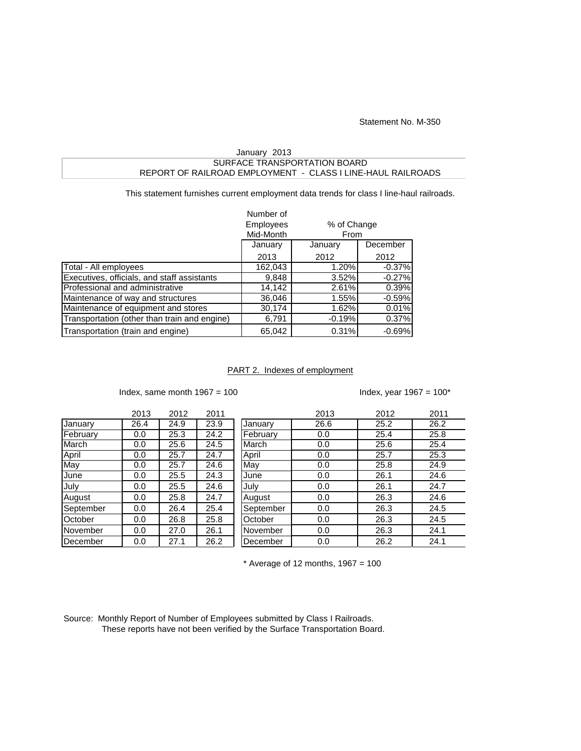Statement No. M-350

## SURFACE TRANSPORTATION BOARD REPORT OF RAILROAD EMPLOYMENT - CLASS I LINE-HAUL RAILROADS January 2013

This statement furnishes current employment data trends for class I line-haul railroads.

|                                              | Number of        |          |             |  |  |
|----------------------------------------------|------------------|----------|-------------|--|--|
|                                              | <b>Employees</b> |          | % of Change |  |  |
|                                              | Mid-Month        |          | From        |  |  |
|                                              | January          | January  | December    |  |  |
|                                              | 2013             | 2012     | 2012        |  |  |
| Total - All employees                        | 162,043          | 1.20%    | $-0.37%$    |  |  |
| Executives, officials, and staff assistants  | 9,848            | 3.52%    | $-0.27%$    |  |  |
| Professional and administrative              | 14,142           | 2.61%    | 0.39%       |  |  |
| Maintenance of way and structures            | 36,046           | 1.55%    | $-0.59%$    |  |  |
| Maintenance of equipment and stores          | 30,174           | 1.62%    | 0.01%       |  |  |
| Transportation (other than train and engine) | 6,791            | $-0.19%$ | 0.37%       |  |  |
| Transportation (train and engine)            | 65,042           | 0.31%    | $-0.69%$    |  |  |

## PART 2. Indexes of employment

Index, same month  $1967 = 100$  Index, year  $1967 = 100^*$ 

|           | 2013 | 2012 | 2011 |           | 2013 | 2012 | 2011 |
|-----------|------|------|------|-----------|------|------|------|
| January   | 26.4 | 24.9 | 23.9 | January   | 26.6 | 25.2 | 26.2 |
| February  | 0.0  | 25.3 | 24.2 | February  | 0.0  | 25.4 | 25.8 |
| March     | 0.0  | 25.6 | 24.5 | March     | 0.0  | 25.6 | 25.4 |
| April     | 0.0  | 25.7 | 24.7 | April     | 0.0  | 25.7 | 25.3 |
| May       | 0.0  | 25.7 | 24.6 | May       | 0.0  | 25.8 | 24.9 |
| June      | 0.0  | 25.5 | 24.3 | June      | 0.0  | 26.1 | 24.6 |
| July      | 0.0  | 25.5 | 24.6 | July      | 0.0  | 26.1 | 24.7 |
| August    | 0.0  | 25.8 | 24.7 | August    | 0.0  | 26.3 | 24.6 |
| September | 0.0  | 26.4 | 25.4 | September | 0.0  | 26.3 | 24.5 |
| October   | 0.0  | 26.8 | 25.8 | October   | 0.0  | 26.3 | 24.5 |
| November  | 0.0  | 27.0 | 26.1 | November  | 0.0  | 26.3 | 24.1 |
| December  | 0.0  | 27.1 | 26.2 | December  | 0.0  | 26.2 | 24.1 |

 $*$  Average of 12 months, 1967 = 100

Source: Monthly Report of Number of Employees submitted by Class I Railroads. These reports have not been verified by the Surface Transportation Board.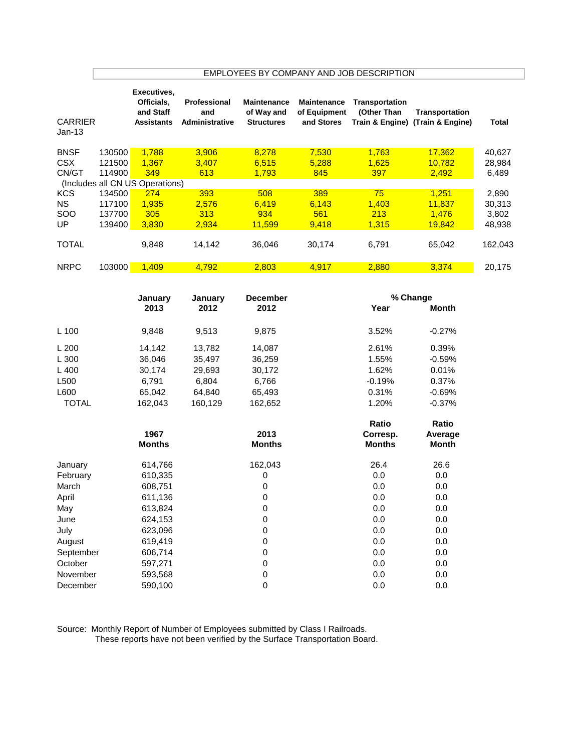|                                    | EMPLOYEES BY COMPANY AND JOB DESCRIPTION |                                                             |                                              |                                                       |                                                  |                                    |                                                    |                           |  |  |
|------------------------------------|------------------------------------------|-------------------------------------------------------------|----------------------------------------------|-------------------------------------------------------|--------------------------------------------------|------------------------------------|----------------------------------------------------|---------------------------|--|--|
| <b>CARRIER</b><br>$Jan-13$         |                                          | Executives,<br>Officials,<br>and Staff<br><b>Assistants</b> | Professional<br>and<br><b>Administrative</b> | <b>Maintenance</b><br>of Way and<br><b>Structures</b> | <b>Maintenance</b><br>of Equipment<br>and Stores | Transportation<br>(Other Than      | Transportation<br>Train & Engine) (Train & Engine) | <b>Total</b>              |  |  |
| <b>BNSF</b><br><b>CSX</b><br>CN/GT | 130500<br>121500<br>114900               | 1,788<br>1,367<br>349                                       | 3,906<br>3,407<br>613                        | 8,278<br>6,515<br>1,793                               | 7,530<br>5,288<br>845                            | 1,763<br>1,625<br>397              | 17,362<br>10,782<br>2,492                          | 40,627<br>28,984<br>6,489 |  |  |
| <b>KCS</b>                         | 134500                                   | (Includes all CN US Operations)<br>274                      | 393                                          | 508                                                   | 389                                              | 75                                 | 1,251                                              | 2,890                     |  |  |
| <b>NS</b>                          | 117100                                   | 1,935                                                       | 2,576                                        | 6,419                                                 | 6,143                                            | 1,403                              | 11,837                                             | 30,313                    |  |  |
| SOO                                | 137700                                   | 305                                                         | 313                                          | 934                                                   | 561                                              | 213                                | 1,476                                              | 3,802                     |  |  |
| UP                                 | 139400                                   | 3,830                                                       | 2,934                                        | 11,599                                                | 9,418                                            | 1,315                              | 19,842                                             | 48,938                    |  |  |
| <b>TOTAL</b>                       |                                          | 9,848                                                       | 14,142                                       | 36,046                                                | 30,174                                           | 6,791                              | 65,042                                             | 162,043                   |  |  |
| <b>NRPC</b>                        | 103000                                   | 1,409                                                       | 4,792                                        | 2,803                                                 | 4,917                                            | 2,880                              | 3,374                                              | 20,175                    |  |  |
|                                    |                                          | January<br>2013                                             | January<br>2012                              | <b>December</b><br>2012                               |                                                  | Year                               | % Change<br><b>Month</b>                           |                           |  |  |
| L 100                              |                                          | 9,848                                                       | 9,513                                        | 9,875                                                 |                                                  | 3.52%                              | $-0.27%$                                           |                           |  |  |
| L 200                              |                                          | 14,142                                                      | 13,782                                       | 14,087                                                |                                                  | 2.61%                              | 0.39%                                              |                           |  |  |
| L 300                              |                                          | 36,046                                                      | 35,497                                       | 36,259                                                |                                                  | 1.55%                              | $-0.59%$                                           |                           |  |  |
| L 400                              |                                          | 30,174                                                      | 29,693                                       | 30,172                                                |                                                  | 1.62%                              | 0.01%                                              |                           |  |  |
| L500                               |                                          | 6,791                                                       | 6,804                                        | 6,766                                                 |                                                  | $-0.19%$                           | 0.37%                                              |                           |  |  |
| L600                               |                                          | 65,042                                                      | 64,840                                       | 65,493                                                |                                                  | 0.31%                              | $-0.69%$                                           |                           |  |  |
| <b>TOTAL</b>                       |                                          | 162,043                                                     | 160,129                                      | 162,652                                               |                                                  | 1.20%                              | $-0.37%$                                           |                           |  |  |
|                                    |                                          | 1967<br><b>Months</b>                                       |                                              | 2013<br><b>Months</b>                                 |                                                  | Ratio<br>Corresp.<br><b>Months</b> | Ratio<br>Average<br><b>Month</b>                   |                           |  |  |
| January                            |                                          | 614,766                                                     |                                              | 162,043                                               |                                                  | 26.4                               | 26.6                                               |                           |  |  |
| February                           |                                          | 610,335                                                     |                                              | 0                                                     |                                                  | 0.0                                | 0.0                                                |                           |  |  |
| March                              |                                          | 608,751                                                     |                                              | 0                                                     |                                                  | 0.0                                | 0.0                                                |                           |  |  |
| April                              |                                          | 611,136                                                     |                                              | 0                                                     |                                                  | 0.0                                | 0.0                                                |                           |  |  |
| May                                |                                          | 613,824                                                     |                                              | $\mathbf 0$                                           |                                                  | $0.0\,$                            | 0.0                                                |                           |  |  |
| June                               |                                          | 624,153                                                     |                                              | $\mathbf 0$                                           |                                                  | $0.0\,$                            | 0.0                                                |                           |  |  |
| July                               |                                          | 623,096                                                     |                                              | 0                                                     |                                                  | 0.0                                | 0.0                                                |                           |  |  |
| August                             |                                          | 619,419                                                     |                                              | 0                                                     |                                                  | 0.0                                | 0.0                                                |                           |  |  |
| September                          |                                          | 606,714                                                     |                                              | 0                                                     |                                                  | 0.0                                | 0.0                                                |                           |  |  |
| October                            |                                          | 597,271                                                     |                                              | 0                                                     |                                                  | 0.0                                | 0.0                                                |                           |  |  |
| November                           |                                          | 593,568                                                     |                                              | 0<br>$\mathbf 0$                                      |                                                  | 0.0<br>0.0                         | 0.0<br>0.0                                         |                           |  |  |
| December                           |                                          | 590,100                                                     |                                              |                                                       |                                                  |                                    |                                                    |                           |  |  |

Source: Monthly Report of Number of Employees submitted by Class I Railroads.

These reports have not been verified by the Surface Transportation Board.